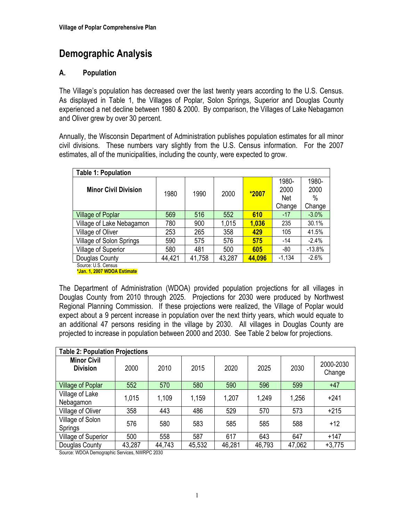# **Demographic Analysis**

## **A. Population**

The Village's population has decreased over the last twenty years according to the U.S. Census. As displayed in Table 1, the Villages of Poplar, Solon Springs, Superior and Douglas County experienced a net decline between 1980 & 2000. By comparison, the Villages of Lake Nebagamon and Oliver grew by over 30 percent.

Annually, the Wisconsin Department of Administration publishes population estimates for all minor civil divisions. These numbers vary slightly from the U.S. Census information. For the 2007 estimates, all of the municipalities, including the county, were expected to grow.

| <b>Table 1: Population</b>  |        |        |        |         |                      |                       |
|-----------------------------|--------|--------|--------|---------|----------------------|-----------------------|
| <b>Minor Civil Division</b> | 1980   | 1990   | 2000   | $*2007$ | 1980-<br>2000<br>Net | 1980-<br>2000<br>$\%$ |
|                             |        |        |        |         | Change               | Change                |
| <b>Village of Poplar</b>    | 569    | 516    | 552    | 610     | $-17$                | $-3.0%$               |
| Village of Lake Nebagamon   | 780    | 900    | 1,015  | 1,036   | 235                  | 30.1%                 |
| Village of Oliver           | 253    | 265    | 358    | 429     | 105                  | 41.5%                 |
| Village of Solon Springs    | 590    | 575    | 576    | 575     | $-14$                | $-2.4%$               |
| Village of Superior         | 580    | 481    | 500    | 605     | -80                  | $-13.8%$              |
| Douglas County              | 44,421 | 41,758 | 43,287 | 44,096  | $-1,134$             | $-2.6%$               |
| Source: U.S. Census         |        |        |        |         |                      |                       |

**\*Jan. 1, 2007 WDOA Estimate** 

The Department of Administration (WDOA) provided population projections for all villages in Douglas County from 2010 through 2025. Projections for 2030 were produced by Northwest Regional Planning Commission. If these projections were realized, the Village of Poplar would expect about a 9 percent increase in population over the next thirty years, which would equate to an additional 47 persons residing in the village by 2030. All villages in Douglas County are projected to increase in population between 2000 and 2030. See Table 2 below for projections.

| <b>Table 2: Population Projections</b> |        |        |        |        |        |        |                     |
|----------------------------------------|--------|--------|--------|--------|--------|--------|---------------------|
| <b>Minor Civil</b><br><b>Division</b>  | 2000   | 2010   | 2015   | 2020   | 2025   | 2030   | 2000-2030<br>Change |
| <b>Village of Poplar</b>               | 552    | 570    | 580    | 590    | 596    | 599    | $+47$               |
| Village of Lake<br>Nebagamon           | 1,015  | 1,109  | 1,159  | 1,207  | 1,249  | 1,256  | $+241$              |
| Village of Oliver                      | 358    | 443    | 486    | 529    | 570    | 573    | $+215$              |
| Village of Solon<br>Springs            | 576    | 580    | 583    | 585    | 585    | 588    | $+12$               |
| Village of Superior                    | 500    | 558    | 587    | 617    | 643    | 647    | $+147$              |
| Douglas County                         | 43,287 | 44,743 | 45,532 | 46,281 | 46,793 | 47,062 | $+3,775$            |

Source: WDOA Demographic Services, NWRPC 2030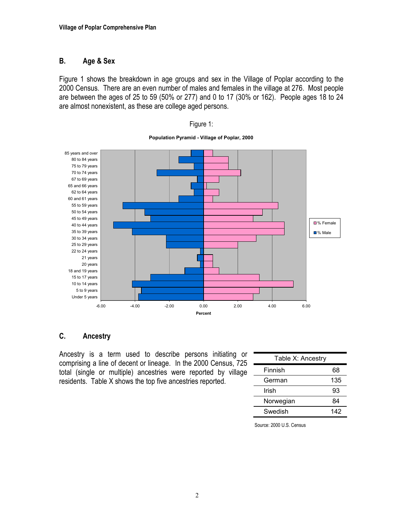#### **B. Age & Sex**

Figure 1 shows the breakdown in age groups and sex in the Village of Poplar according to the 2000 Census. There are an even number of males and females in the village at 276. Most people are between the ages of 25 to 59 (50% or 277) and 0 to 17 (30% or 162). People ages 18 to 24 are almost nonexistent, as these are college aged persons.



**Population Pyramid - Village of Poplar, 2000**

Figure 1:

#### **C. Ancestry**

Ancestry is a term used to describe persons initiating or comprising a line of decent or lineage. In the 2000 Census, 725 total (single or multiple) ancestries were reported by village residents. Table X shows the top five ancestries reported.

| Table X: Ancestry |     |  |  |  |
|-------------------|-----|--|--|--|
| Finnish           | 68  |  |  |  |
| German            | 135 |  |  |  |
| Irish             | 93  |  |  |  |
| Norwegian         | 84  |  |  |  |
| Swedish           | 142 |  |  |  |

Source: 2000 U.S. Census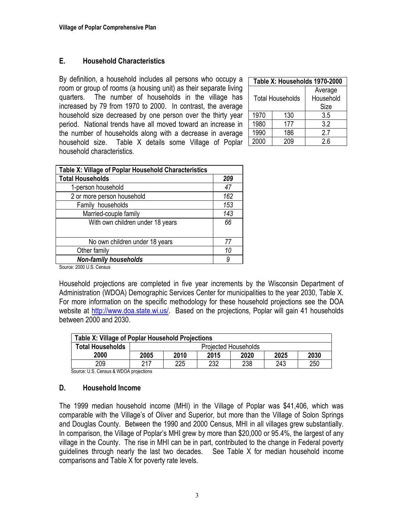#### **E. Household Characteristics**

By definition, a household includes all persons who occupy a room or group of rooms (a housing unit) as their separate living quarters. The number of households in the village has increased by 79 from 1970 to 2000. In contrast, the average household size decreased by one person over the thirty year period. National trends have all moved toward an increase in the number of households along with a decrease in average household size. Table X details some Village of Poplar household characteristics.

| Table X: Households 1970-2000 |                         |           |  |  |
|-------------------------------|-------------------------|-----------|--|--|
|                               |                         | Average   |  |  |
|                               | <b>Total Households</b> | Household |  |  |
|                               |                         | Size      |  |  |
| 1970                          | 130                     | 3.5       |  |  |
| 1980                          | 177                     | 3.2       |  |  |
| 1990                          | 186                     | 27        |  |  |
| 2000                          | 209                     | 2.6       |  |  |

| Table X: Village of Poplar Household Characteristics |     |
|------------------------------------------------------|-----|
| <b>Total Households</b>                              | 209 |
| 1-person household                                   | 47  |
| 2 or more person household                           | 162 |
| Family households                                    | 153 |
| Married-couple family                                | 143 |
| With own children under 18 years                     | 66  |
|                                                      |     |
| No own children under 18 years                       | 77  |
| Other family                                         | 10  |
| <b>Non-family households</b>                         | 9   |
|                                                      |     |

Source: 2000 U.S. Census

Household projections are completed in five year increments by the Wisconsin Department of Administration (WDOA) Demographic Services Center for municipalities to the year 2030, Table X. For more information on the specific methodology for these household projections see the DOA website at http://www.doa.state.wi.us/. Based on the projections, Poplar will gain 41 households between 2000 and 2030.

| Table X: Village of Poplar Household Projections |                             |      |      |      |      |      |
|--------------------------------------------------|-----------------------------|------|------|------|------|------|
| <b>Total Households</b>                          | <b>Projected Households</b> |      |      |      |      |      |
| 2000                                             | 2005                        | 2010 | 2015 | 2020 | 2025 | 2030 |
| 209                                              | 217                         | 225  | 232  | 238  | 243  | 250  |

Source: U.S. Census & WDOA projections

#### **D. Household Income**

The 1999 median household income (MHI) in the Village of Poplar was \$41,406, which was comparable with the Village's of Oliver and Superior, but more than the Village of Solon Springs and Douglas County. Between the 1990 and 2000 Census, MHI in all villages grew substantially. In comparison, the Village of Poplar's MHI grew by more than \$20,000 or 95.4%, the largest of any village in the County. The rise in MHI can be in part, contributed to the change in Federal poverty guidelines through nearly the last two decades. See Table X for median household income comparisons and Table X for poverty rate levels.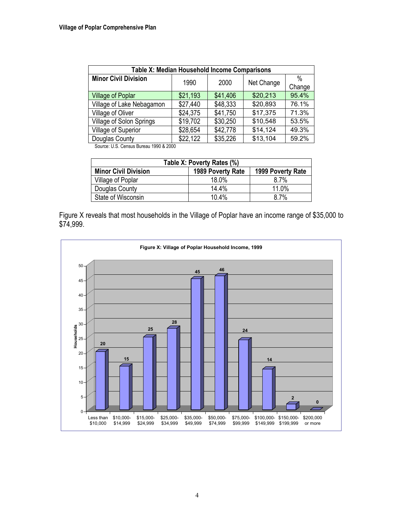| <b>Table X: Median Household Income Comparisons</b> |          |          |            |                |  |  |
|-----------------------------------------------------|----------|----------|------------|----------------|--|--|
| <b>Minor Civil Division</b>                         | 1990     | 2000     | Net Change | $\%$<br>Change |  |  |
| <b>Village of Poplar</b>                            | \$21,193 | \$41,406 | \$20,213   | 95.4%          |  |  |
| Village of Lake Nebagamon                           | \$27,440 | \$48,333 | \$20,893   | 76.1%          |  |  |
| Village of Oliver                                   | \$24,375 | \$41,750 | \$17,375   | 71.3%          |  |  |
| <b>Village of Solon Springs</b>                     | \$19,702 | \$30,250 | \$10,548   | 53.5%          |  |  |
| Village of Superior                                 | \$28,654 | \$42,778 | \$14,124   | 49.3%          |  |  |
| Douglas County                                      | \$22,122 | \$35,226 | \$13,104   | 59.2%          |  |  |

Source: U.S. Census Bureau 1990 & 2000

| Table X: Poverty Rates (%)                                            |       |       |  |  |  |
|-----------------------------------------------------------------------|-------|-------|--|--|--|
| <b>Minor Civil Division</b><br>1989 Poverty Rate<br>1999 Poverty Rate |       |       |  |  |  |
| Village of Poplar                                                     | 18.0% | 8.7%  |  |  |  |
| Douglas County                                                        | 14.4% | 11.0% |  |  |  |
| State of Wisconsin                                                    | 10.4% | 8.7%  |  |  |  |

Figure X reveals that most households in the Village of Poplar have an income range of \$35,000 to \$74,999.